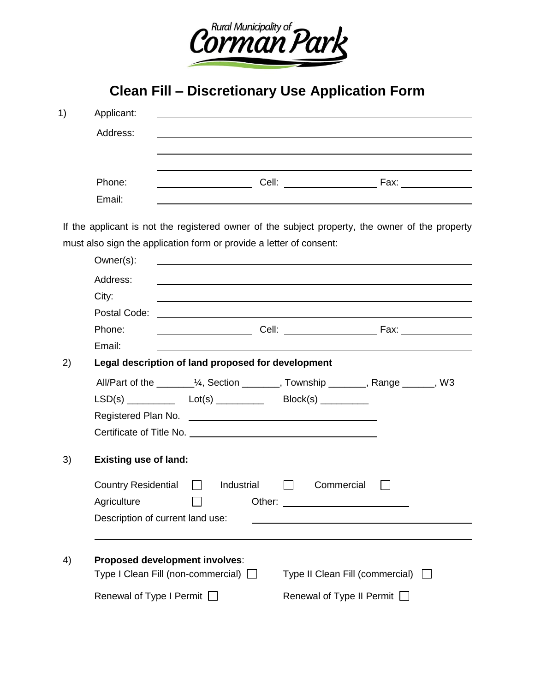

**Clean Fill – Discretionary Use Application Form**

| 1) | Applicant:<br>Address:                                                                                    |                                                                                                 |  |                             |  |  |  |  |
|----|-----------------------------------------------------------------------------------------------------------|-------------------------------------------------------------------------------------------------|--|-----------------------------|--|--|--|--|
|    |                                                                                                           |                                                                                                 |  |                             |  |  |  |  |
|    |                                                                                                           |                                                                                                 |  |                             |  |  |  |  |
|    | Phone:                                                                                                    |                                                                                                 |  |                             |  |  |  |  |
|    | Email:                                                                                                    |                                                                                                 |  |                             |  |  |  |  |
|    |                                                                                                           | If the applicant is not the registered owner of the subject property, the owner of the property |  |                             |  |  |  |  |
|    |                                                                                                           | must also sign the application form or provide a letter of consent:                             |  |                             |  |  |  |  |
|    | Owner(s):                                                                                                 |                                                                                                 |  |                             |  |  |  |  |
|    | Address:                                                                                                  |                                                                                                 |  |                             |  |  |  |  |
|    | City:                                                                                                     |                                                                                                 |  |                             |  |  |  |  |
|    | Postal Code:                                                                                              |                                                                                                 |  |                             |  |  |  |  |
|    | Phone:                                                                                                    | <u> 1980 - John Stone, amerikansk politiker (</u>                                               |  | Cell: Fax: Fax:             |  |  |  |  |
|    | Email:                                                                                                    |                                                                                                 |  |                             |  |  |  |  |
| 2) | Legal description of land proposed for development                                                        |                                                                                                 |  |                             |  |  |  |  |
|    |                                                                                                           | All/Part of the _________1/4, Section ________, Township _______, Range ______, W3              |  |                             |  |  |  |  |
|    |                                                                                                           |                                                                                                 |  |                             |  |  |  |  |
|    |                                                                                                           |                                                                                                 |  |                             |  |  |  |  |
|    |                                                                                                           | Certificate of Title No.                                                                        |  |                             |  |  |  |  |
| 3) | <b>Existing use of land:</b>                                                                              |                                                                                                 |  |                             |  |  |  |  |
|    | <b>Country Residential</b>                                                                                | Industrial                                                                                      |  | Commercial                  |  |  |  |  |
|    | Agriculture                                                                                               |                                                                                                 |  |                             |  |  |  |  |
|    | Description of current land use:                                                                          |                                                                                                 |  |                             |  |  |  |  |
|    |                                                                                                           |                                                                                                 |  |                             |  |  |  |  |
| 4) | Proposed development involves:<br>Type I Clean Fill (non-commercial) □<br>Type II Clean Fill (commercial) |                                                                                                 |  |                             |  |  |  |  |
|    |                                                                                                           |                                                                                                 |  |                             |  |  |  |  |
|    | Renewal of Type I Permit □                                                                                |                                                                                                 |  | Renewal of Type II Permit □ |  |  |  |  |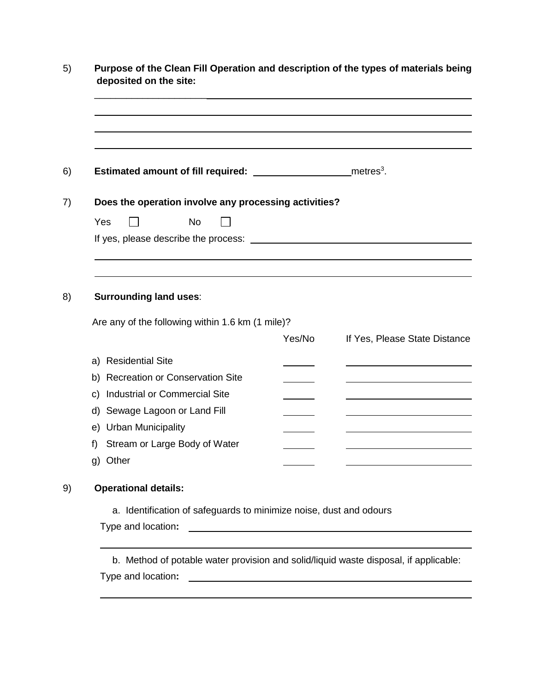| Does the operation involve any processing activities?                                                                |        |                               |
|----------------------------------------------------------------------------------------------------------------------|--------|-------------------------------|
| <b>No</b><br>Yes                                                                                                     |        |                               |
|                                                                                                                      |        |                               |
| <b>Surrounding land uses:</b>                                                                                        |        |                               |
| Are any of the following within 1.6 km (1 mile)?                                                                     | Yes/No | If Yes, Please State Distance |
| a) Residential Site                                                                                                  |        |                               |
|                                                                                                                      |        |                               |
|                                                                                                                      |        |                               |
| <b>Industrial or Commercial Site</b>                                                                                 |        |                               |
|                                                                                                                      |        |                               |
|                                                                                                                      |        |                               |
| Stream or Large Body of Water                                                                                        |        |                               |
| b) Recreation or Conservation Site<br>C)<br>d) Sewage Lagoon or Land Fill<br>e) Urban Municipality<br>f)<br>g) Other |        |                               |
| <b>Operational details:</b>                                                                                          |        |                               |
| a. Identification of safeguards to minimize noise, dust and odours                                                   |        |                               |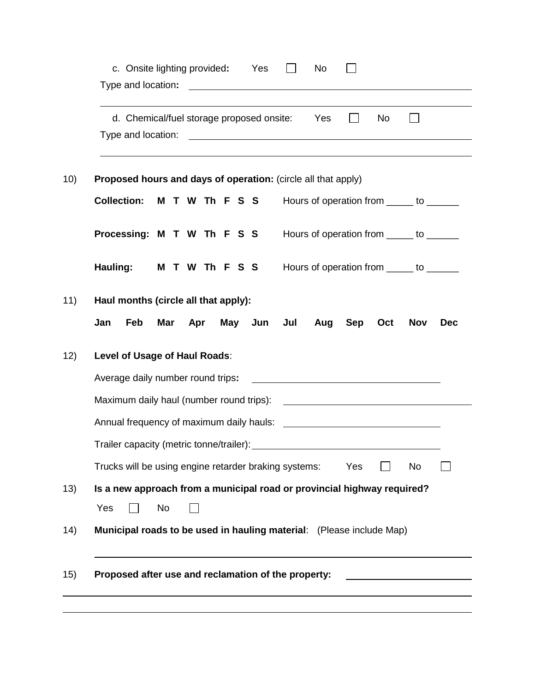|                                   | Type and location:<br><u> 1989 - Johann Harry Harry Harry Harry Harry Harry Harry Harry Harry Harry Harry Harry Harry Harry Harry Harry</u>                                                                                   |            |  |  |  |  |  |  |
|-----------------------------------|-------------------------------------------------------------------------------------------------------------------------------------------------------------------------------------------------------------------------------|------------|--|--|--|--|--|--|
|                                   |                                                                                                                                                                                                                               |            |  |  |  |  |  |  |
|                                   | Proposed hours and days of operation: (circle all that apply)                                                                                                                                                                 |            |  |  |  |  |  |  |
|                                   | <b>Collection:</b><br>M T W Th F S S<br>Hours of operation from ______ to ______                                                                                                                                              |            |  |  |  |  |  |  |
|                                   | Processing: M T W Th F S S<br>Hours of operation from ______ to ______                                                                                                                                                        |            |  |  |  |  |  |  |
|                                   | Hauling:<br>M T W Th F S S<br>Hours of operation from ______ to ______                                                                                                                                                        |            |  |  |  |  |  |  |
|                                   | Haul months (circle all that apply):                                                                                                                                                                                          |            |  |  |  |  |  |  |
|                                   | May Jun Jul<br>Feb<br>Mar<br>Jan<br>Apr<br>Aug<br><b>Sep</b><br><b>Nov</b><br>Oct                                                                                                                                             | <b>Dec</b> |  |  |  |  |  |  |
| Level of Usage of Haul Roads:     |                                                                                                                                                                                                                               |            |  |  |  |  |  |  |
| Average daily number round trips: |                                                                                                                                                                                                                               |            |  |  |  |  |  |  |
|                                   |                                                                                                                                                                                                                               |            |  |  |  |  |  |  |
|                                   | Annual frequency of maximum daily hauls:                                                                                                                                                                                      |            |  |  |  |  |  |  |
|                                   | Trailer capacity (metric tonne/trailer): Non-trailery and the capacity of the capacity of the capacity of the capacity of the capacity of the capacity of the capacity of the capacity of the capacity of the capacity of the |            |  |  |  |  |  |  |
|                                   | Trucks will be using engine retarder braking systems:<br>Yes<br>No                                                                                                                                                            |            |  |  |  |  |  |  |
|                                   | Is a new approach from a municipal road or provincial highway required?                                                                                                                                                       |            |  |  |  |  |  |  |
|                                   | Yes<br>No                                                                                                                                                                                                                     |            |  |  |  |  |  |  |
|                                   |                                                                                                                                                                                                                               |            |  |  |  |  |  |  |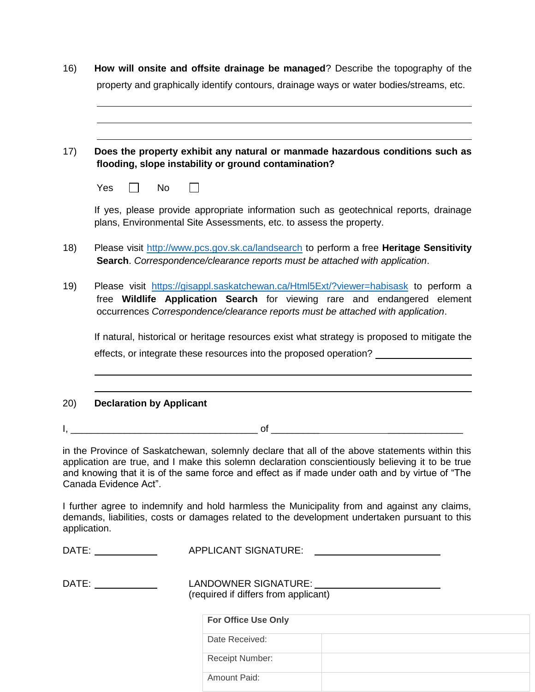| 16)          | How will onsite and offsite drainage be managed? Describe the topography of the                                                                                                                                                                                                                                                |  |  |  |  |
|--------------|--------------------------------------------------------------------------------------------------------------------------------------------------------------------------------------------------------------------------------------------------------------------------------------------------------------------------------|--|--|--|--|
|              | property and graphically identify contours, drainage ways or water bodies/streams, etc.                                                                                                                                                                                                                                        |  |  |  |  |
|              |                                                                                                                                                                                                                                                                                                                                |  |  |  |  |
|              |                                                                                                                                                                                                                                                                                                                                |  |  |  |  |
| 17)          | Does the property exhibit any natural or manmade hazardous conditions such as<br>flooding, slope instability or ground contamination?                                                                                                                                                                                          |  |  |  |  |
|              | Yes<br>No                                                                                                                                                                                                                                                                                                                      |  |  |  |  |
|              | If yes, please provide appropriate information such as geotechnical reports, drainage<br>plans, Environmental Site Assessments, etc. to assess the property.                                                                                                                                                                   |  |  |  |  |
| 18)          | Please visit http://www.pcs.gov.sk.ca/landsearch to perform a free Heritage Sensitivity<br>Search. Correspondence/clearance reports must be attached with application.                                                                                                                                                         |  |  |  |  |
| 19)          | Please visit https://gisappl.saskatchewan.ca/Html5Ext/?viewer=habisask to perform a<br>free Wildlife Application Search for viewing rare and endangered element<br>occurrences Correspondence/clearance reports must be attached with application.                                                                             |  |  |  |  |
|              | If natural, historical or heritage resources exist what strategy is proposed to mitigate the                                                                                                                                                                                                                                   |  |  |  |  |
|              | effects, or integrate these resources into the proposed operation?                                                                                                                                                                                                                                                             |  |  |  |  |
|              |                                                                                                                                                                                                                                                                                                                                |  |  |  |  |
| 20)          | <b>Declaration by Applicant</b>                                                                                                                                                                                                                                                                                                |  |  |  |  |
|              |                                                                                                                                                                                                                                                                                                                                |  |  |  |  |
|              | in the Province of Saskatchewan, solemnly declare that all of the above statements within this<br>application are true, and I make this solemn declaration conscientiously believing it to be true<br>and knowing that it is of the same force and effect as if made under oath and by virtue of "The<br>Canada Evidence Act". |  |  |  |  |
| application. | I further agree to indemnify and hold harmless the Municipality from and against any claims,<br>demands, liabilities, costs or damages related to the development undertaken pursuant to this                                                                                                                                  |  |  |  |  |
|              | <b>APPLICANT SIGNATURE:</b><br>DATE: ______________                                                                                                                                                                                                                                                                            |  |  |  |  |
|              | LANDOWNER SIGNATURE: New York CANDOWNER SIGNATURE:<br>DATE:<br>(required if differs from applicant)                                                                                                                                                                                                                            |  |  |  |  |

**For Office Use Only** Date Received: Receipt Number: Amount Paid: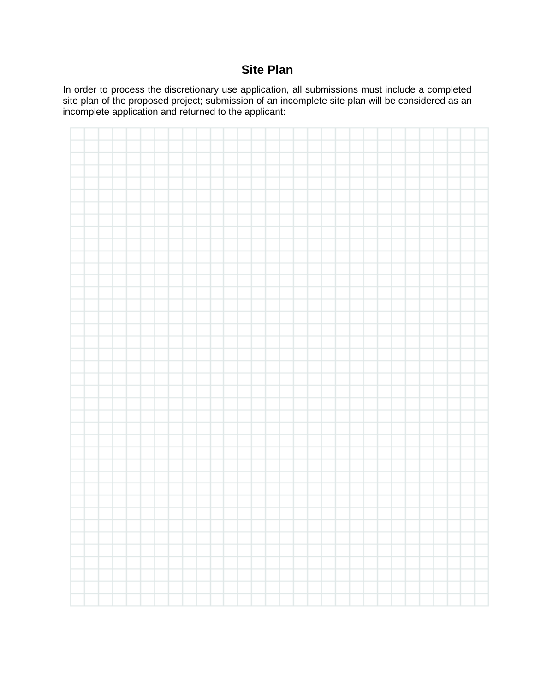### **Site Plan**

In order to process the discretionary use application, all submissions must include a completed site plan of the proposed project; submission of an incomplete site plan will be considered as an incomplete application and returned to the applicant:

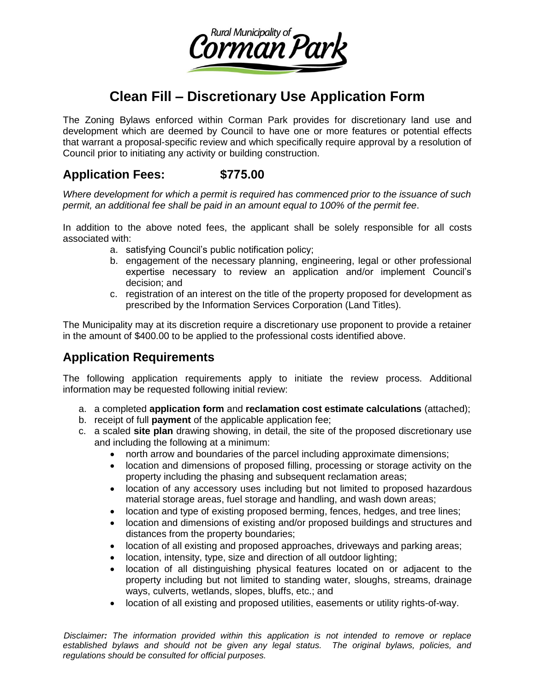

# **Clean Fill – Discretionary Use Application Form**

The Zoning Bylaws enforced within Corman Park provides for discretionary land use and development which are deemed by Council to have one or more features or potential effects that warrant a proposal-specific review and which specifically require approval by a resolution of Council prior to initiating any activity or building construction.

#### **Application Fees: \$775.00**

*Where development for which a permit is required has commenced prior to the issuance of such permit, an additional fee shall be paid in an amount equal to 100% of the permit fee*.

In addition to the above noted fees, the applicant shall be solely responsible for all costs associated with:

- a. satisfying Council's public notification policy;
- b. engagement of the necessary planning, engineering, legal or other professional expertise necessary to review an application and/or implement Council's decision; and
- c. registration of an interest on the title of the property proposed for development as prescribed by the Information Services Corporation (Land Titles).

The Municipality may at its discretion require a discretionary use proponent to provide a retainer in the amount of \$400.00 to be applied to the professional costs identified above.

#### **Application Requirements**

The following application requirements apply to initiate the review process. Additional information may be requested following initial review:

- a. a completed **application form** and **reclamation cost estimate calculations** (attached);
- b. receipt of full **payment** of the applicable application fee;
- c. a scaled **site plan** drawing showing, in detail, the site of the proposed discretionary use and including the following at a minimum:
	- north arrow and boundaries of the parcel including approximate dimensions;
	- location and dimensions of proposed filling, processing or storage activity on the property including the phasing and subsequent reclamation areas;
	- location of any accessory uses including but not limited to proposed hazardous material storage areas, fuel storage and handling, and wash down areas;
	- location and type of existing proposed berming, fences, hedges, and tree lines;
	- location and dimensions of existing and/or proposed buildings and structures and distances from the property boundaries;
	- location of all existing and proposed approaches, driveways and parking areas;
	- location, intensity, type, size and direction of all outdoor lighting;
	- location of all distinguishing physical features located on or adjacent to the property including but not limited to standing water, sloughs, streams, drainage ways, culverts, wetlands, slopes, bluffs, etc.; and
	- location of all existing and proposed utilities, easements or utility rights-of-way.

*Disclaimer: The information provided within this application is not intended to remove or replace established bylaws and should not be given any legal status. The original bylaws, policies, and regulations should be consulted for official purposes.*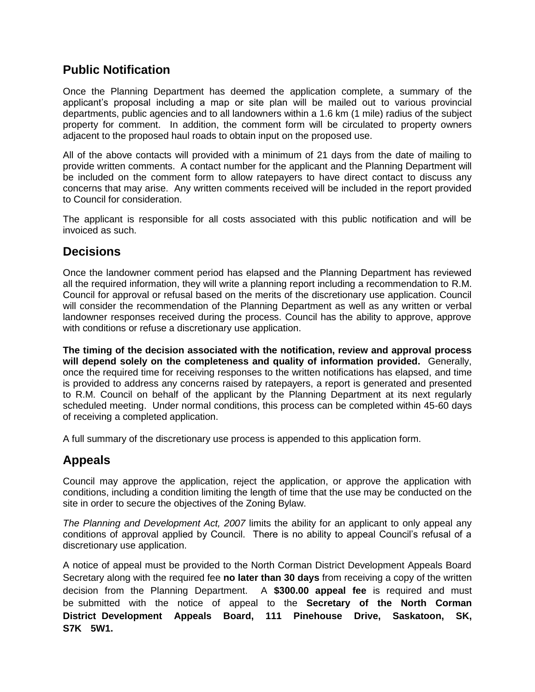#### **Public Notification**

Once the Planning Department has deemed the application complete, a summary of the applicant's proposal including a map or site plan will be mailed out to various provincial departments, public agencies and to all landowners within a 1.6 km (1 mile) radius of the subject property for comment. In addition, the comment form will be circulated to property owners adjacent to the proposed haul roads to obtain input on the proposed use.

All of the above contacts will provided with a minimum of 21 days from the date of mailing to provide written comments. A contact number for the applicant and the Planning Department will be included on the comment form to allow ratepayers to have direct contact to discuss any concerns that may arise. Any written comments received will be included in the report provided to Council for consideration.

The applicant is responsible for all costs associated with this public notification and will be invoiced as such.

#### **Decisions**

Once the landowner comment period has elapsed and the Planning Department has reviewed all the required information, they will write a planning report including a recommendation to R.M. Council for approval or refusal based on the merits of the discretionary use application. Council will consider the recommendation of the Planning Department as well as any written or verbal landowner responses received during the process. Council has the ability to approve, approve with conditions or refuse a discretionary use application.

**The timing of the decision associated with the notification, review and approval process will depend solely on the completeness and quality of information provided.** Generally, once the required time for receiving responses to the written notifications has elapsed, and time is provided to address any concerns raised by ratepayers, a report is generated and presented to R.M. Council on behalf of the applicant by the Planning Department at its next regularly scheduled meeting. Under normal conditions, this process can be completed within 45-60 days of receiving a completed application.

A full summary of the discretionary use process is appended to this application form.

## **Appeals**

Council may approve the application, reject the application, or approve the application with conditions, including a condition limiting the length of time that the use may be conducted on the site in order to secure the objectives of the Zoning Bylaw.

*The Planning and Development Act, 2007* limits the ability for an applicant to only appeal any conditions of approval applied by Council. There is no ability to appeal Council's refusal of a discretionary use application.

A notice of appeal must be provided to the North Corman District Development Appeals Board Secretary along with the required fee **no later than 30 days** from receiving a copy of the written decision from the Planning Department. A **\$300.00 appeal fee** is required and must be submitted with the notice of appeal to the **Secretary of the North Corman District Development Appeals Board, 111 Pinehouse Drive, Saskatoon, SK, S7K 5W1.**